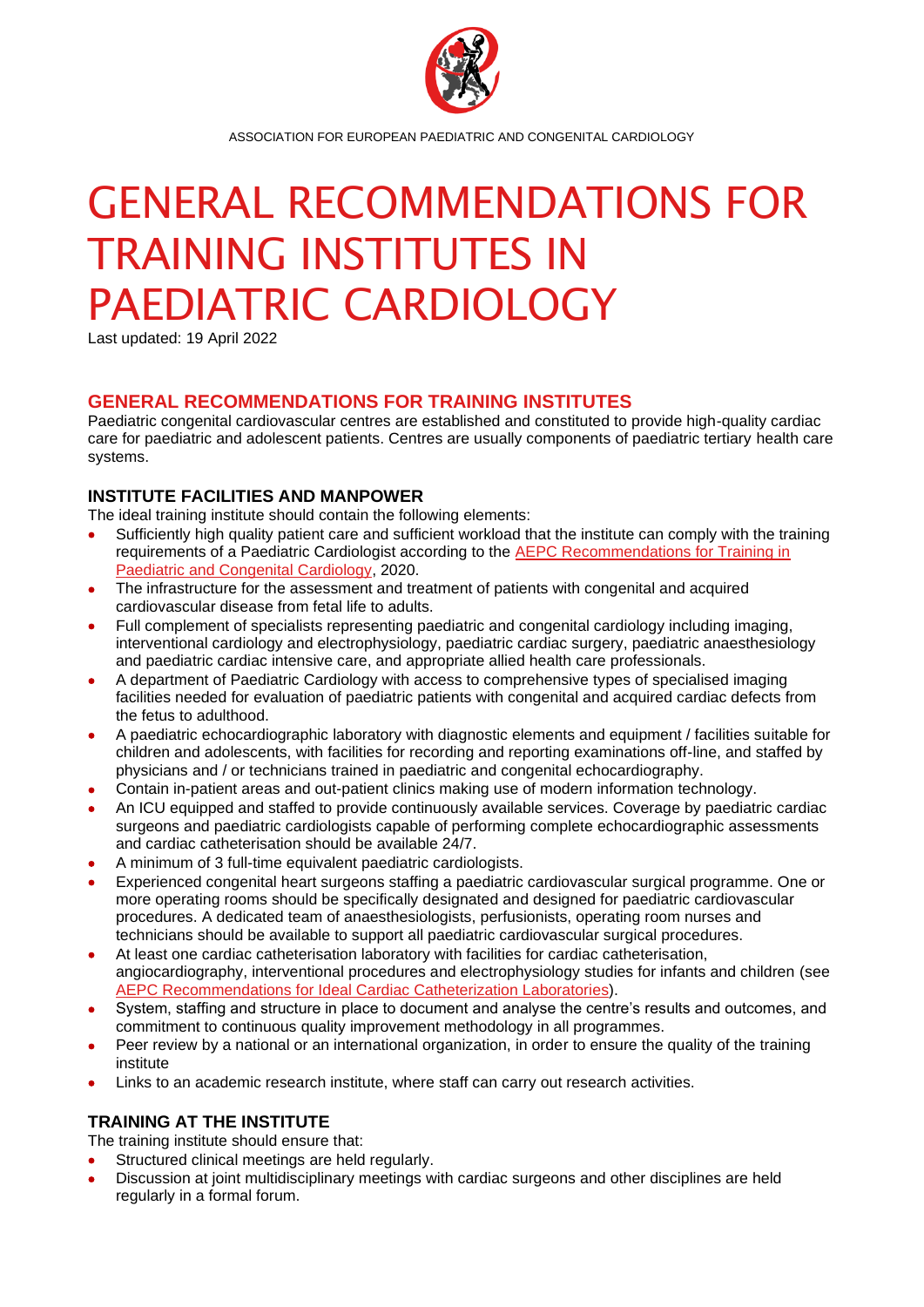

ASSOCIATION FOR EUROPEAN PAEDIATRIC AND CONGENITAL CARDIOLOGY

# GENERAL RECOMMENDATIONS FOR TRAINING INSTITUTES IN PAEDIATRIC CARDIOLOGY

Last updated: 19 April 2022

# **GENERAL RECOMMENDATIONS FOR TRAINING INSTITUTES**

Paediatric congenital cardiovascular centres are established and constituted to provide high-quality cardiac care for paediatric and adolescent patients. Centres are usually components of paediatric tertiary health care systems.

### **INSTITUTE FACILITIES AND MANPOWER**

The ideal training institute should contain the following elements:

- Sufficiently high quality patient care and sufficient workload that the institute can comply with the training requirements of a Paediatric Cardiologist according to the [AEPC Recommendations for Training in](https://doi.org/10.1017/S1047951120003455)  [Paediatric and Congenital Cardiology,](https://doi.org/10.1017/S1047951120003455) 2020.
- The infrastructure for the assessment and treatment of patients with congenital and acquired cardiovascular disease from fetal life to adults.
- Full complement of specialists representing paediatric and congenital cardiology including imaging, interventional cardiology and electrophysiology, paediatric cardiac surgery, paediatric anaesthesiology and paediatric cardiac intensive care, and appropriate allied health care professionals.
- A department of Paediatric Cardiology with access to comprehensive types of specialised imaging facilities needed for evaluation of paediatric patients with congenital and acquired cardiac defects from the fetus to adulthood.
- A paediatric echocardiographic laboratory with diagnostic elements and equipment / facilities suitable for children and adolescents, with facilities for recording and reporting examinations off-line, and staffed by physicians and / or technicians trained in paediatric and congenital echocardiography.
- Contain in-patient areas and out-patient clinics making use of modern information technology.
- An ICU equipped and staffed to provide continuously available services. Coverage by paediatric cardiac surgeons and paediatric cardiologists capable of performing complete echocardiographic assessments and cardiac catheterisation should be available 24/7.
- A minimum of 3 full-time equivalent paediatric cardiologists.
- Experienced congenital heart surgeons staffing a paediatric cardiovascular surgical programme. One or more operating rooms should be specifically designated and designed for paediatric cardiovascular procedures. A dedicated team of anaesthesiologists, perfusionists, operating room nurses and technicians should be available to support all paediatric cardiovascular surgical procedures.
- At least one cardiac catheterisation laboratory with facilities for cardiac catheterisation, angiocardiography, interventional procedures and electrophysiology studies for infants and children (see [AEPC Recommendations for Ideal Cardiac Catheterization Laboratories\)](https://doi.org/10.1017/S1047951103001240).
- System, staffing and structure in place to document and analyse the centre's results and outcomes, and commitment to continuous quality improvement methodology in all programmes.
- Peer review by a national or an international organization, in order to ensure the quality of the training institute
- Links to an academic research institute, where staff can carry out research activities.

# **TRAINING AT THE INSTITUTE**

The training institute should ensure that:

- Structured clinical meetings are held regularly.
- Discussion at joint multidisciplinary meetings with cardiac surgeons and other disciplines are held regularly in a formal forum.